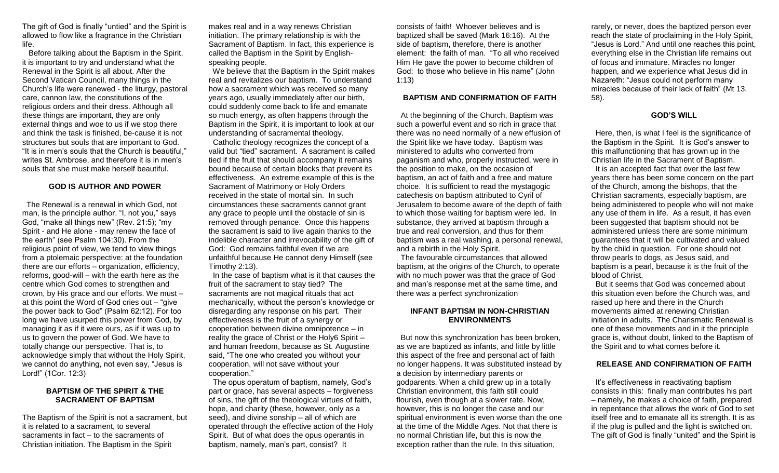The gift of God is finally "untied" and the Spirit is allowed to flow like a fragrance in the Christian life.

 Before talking about the Baptism in the Spirit, it is important to try and understand what the Renewal in the Spirit is all about. After the Second Vatican Council, many things in the Church's life were renewed - the liturgy, pastoral care, cannon law, the constitutions of the religious orders and their dress. Although all these things are important, they are only external things and woe to us if we stop there and think the task is finished, be-cause it is not structures but souls that are important to God. "It is in men's souls that the Church is beautiful," writes St. Ambrose, and therefore it is in men's souls that she must make herself beautiful.

#### **GOD IS AUTHOR AND POWER**

 The Renewal is a renewal in which God, not man, is the principle author. "I, not you," says God, "make all things new" (Rev. 21:5); "my Spirit - and He alone - may renew the face of the earth" (see Psalm 104:30). From the religious point of view, we tend to view things from a ptolemaic perspective: at the foundation there are our efforts – organization, efficiency, reforms, good-will – with the earth here as the centre which God comes to strengthen and crown, by His grace and our efforts. We must – at this point the Word of God cries out – "give the power back to God" (Psalm 62:12). For too long we have usurped this power from God, by managing it as if it were ours, as if it was up to us to govern the power of God. We have to totally change our perspective. That is, to acknowledge simply that without the Holy Spirit, we cannot do anything, not even say, "Jesus is Lord!" (1Cor. 12:3)

# **BAPTISM OF THE SPIRIT & THE SACRAMENT OF BAPTISM**

The Baptism of the Spirit is not a sacrament, but it is related to a sacrament, to several sacraments in fact – to the sacraments of Christian initiation. The Baptism in the Spirit

makes real and in a way renews Christian initiation. The primary relationship is with the Sacrament of Baptism. In fact, this experience is called the Baptism in the Spirit by Englishspeaking people.

 We believe that the Baptism in the Spirit makes real and revitalizes our baptism. To understand how a sacrament which was received so many years ago, usually immediately after our birth, could suddenly come back to life and emanate so much energy, as often happens through the Baptism in the Spirit, it is important to look at our understanding of sacramental theology.

 Catholic theology recognizes the concept of a valid but "tied" sacrament. A sacrament is called tied if the fruit that should accompany it remains bound because of certain blocks that prevent its effectiveness. An extreme example of this is the Sacrament of Matrimony or Holy Orders received in the state of mortal sin. In such circumstances these sacraments cannot grant any grace to people until the obstacle of sin is removed through penance. Once this happens the sacrament is said to live again thanks to the indelible character and irrevocability of the gift of God: God remains faithful even if we are unfaithful because He cannot deny Himself (see Timothy 2:13).

 In the case of baptism what is it that causes the fruit of the sacrament to stay tied? The sacraments are not magical rituals that act mechanically, without the person's knowledge or disregarding any response on his part. Their effectiveness is the fruit of a synergy or cooperation between divine omnipotence – in reality the grace of Christ or the Holy6 Spirit – and human freedom, because as St. Augustine said, "The one who created you without your cooperation, will not save without your cooperation."

 The opus operatum of baptism, namely, God's part or grace, has several aspects – forgiveness of sins, the gift of the theological virtues of faith, hope, and charity (these, however, only as a seed), and divine sonship – all of which are operated through the effective action of the Holy Spirit. But of what does the opus operantis in baptism, namely, man's part, consist? It

consists of faith! Whoever believes and is baptized shall be saved (Mark 16:16). At the side of baptism, therefore, there is another element: the faith of man. "To all who received Him He gave the power to become children of God: to those who believe in His name" (John 1:13)

#### **BAPTISM AND CONFIRMATION OF FAITH**

 At the beginning of the Church, Baptism was such a powerful event and so rich in grace that there was no need normally of a new effusion of the Spirit like we have today. Baptism was ministered to adults who converted from paganism and who, properly instructed, were in the position to make, on the occasion of baptism, an act of faith and a free and mature choice. It is sufficient to read the mystagogic catechesis on baptism attributed to Cyril of Jerusalem to become aware of the depth of faith to which those waiting for baptism were led. In substance, they arrived at baptism through a true and real conversion, and thus for them baptism was a real washing, a personal renewal, and a rebirth in the Holy Spirit.

 The favourable circumstances that allowed baptism, at the origins of the Church, to operate with no much power was that the grace of God and man's response met at the same time, and there was a perfect synchronization

# **INFANT BAPTISM IN NON-CHRISTIAN ENVIRONMENTS**

 But now this synchronization has been broken, as we are baptized as infants, and little by little this aspect of the free and personal act of faith no longer happens. It was substituted instead by a decision by intermediary parents or godparents. When a child grew up in a totally Christian environment, this faith still could flourish, even though at a slower rate. Now, however, this is no longer the case and our spiritual environment is even worse than the one at the time of the Middle Ages. Not that there is no normal Christian life, but this is now the exception rather than the rule. In this situation,

rarely, or never, does the baptized person ever reach the state of proclaiming in the Holy Spirit, "Jesus is Lord." And until one reaches this point, everything else in the Christian life remains out of focus and immature. Miracles no longer happen, and we experience what Jesus did in Nazareth: "Jesus could not perform many miracles because of their lack of faith" (Mt 13. 58).

# **GOD'S WILL**

 Here, then, is what I feel is the significance of the Baptism in the Spirit. It is God's answer to this malfunctioning that has grown up in the Christian life in the Sacrament of Baptism. It is an accepted fact that over the last few years there has been some concern on the part of the Church, among the bishops, that the Christian sacraments, especially baptism, are being administered to people who will not make any use of them in life. As a result, it has even been suggested that baptism should not be administered unless there are some minimum guarantees that it will be cultivated and valued by the child in question. For one should not throw pearls to dogs, as Jesus said, and baptism is a pearl, because it is the fruit of the blood of Christ.

 But it seems that God was concerned about this situation even before the Church was, and raised up here and there in the Church movements aimed at renewing Christian initiation in adults. The Charismatic Renewal is one of these movements and in it the principle grace is, without doubt, linked to the Baptism of the Spirit and to what comes before it.

## **RELEASE AND CONFIRMATION OF FAITH**

It's effectiveness in reactivating baptism consists in this: finally man contributes his part – namely, he makes a choice of faith, prepared in repentance that allows the work of God to set itself free and to emanate all its strength. It is as if the plug is pulled and the light is switched on. The gift of God is finally "united" and the Spirit is